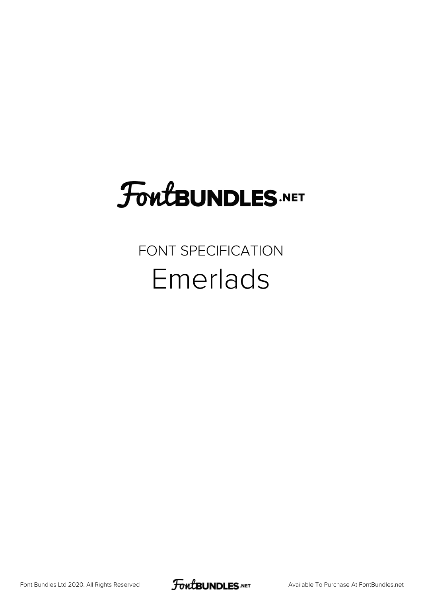## **FoutBUNDLES.NET**

## FONT SPECIFICATION Emerlads

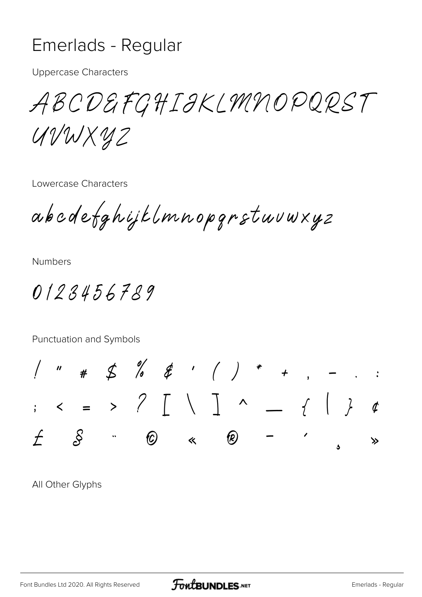## Emerlads - Regular

**Uppercase Characters** 

ABCDEFGHIJKLMNOPQRST UVWXYZ

Lowercase Characters

abcdefghijklmnopgrstuvwxyz

**Numbers** 

0123456789

Punctuation and Symbols



All Other Glyphs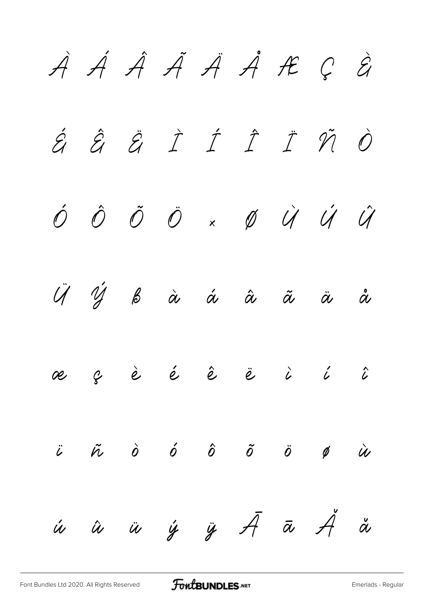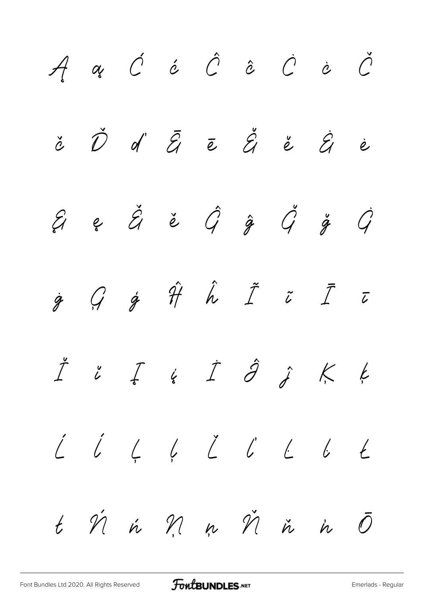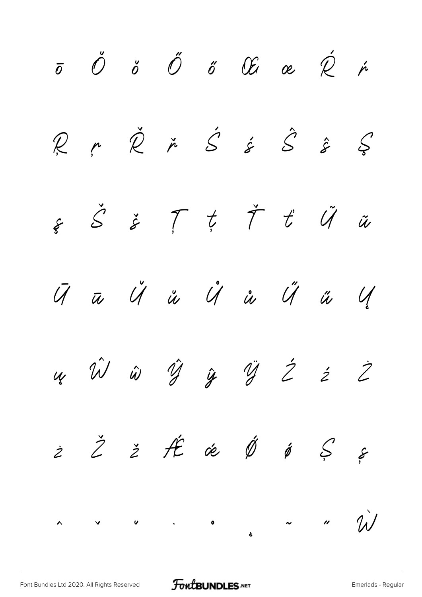